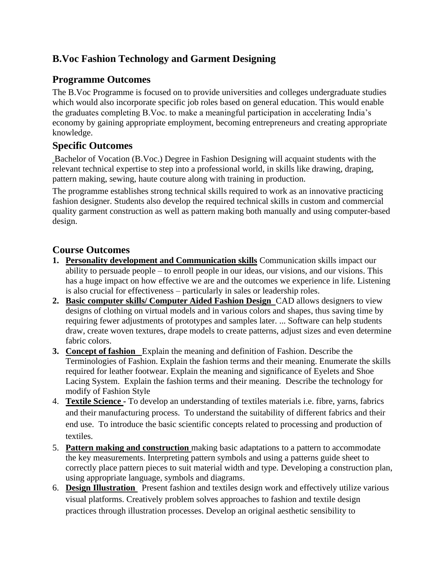## **B.Voc Fashion Technology and Garment Designing**

## **Programme Outcomes**

The B.Voc Programme is focused on to provide universities and colleges undergraduate studies which would also incorporate specific job roles based on general education. This would enable the graduates completing B.Voc. to make a meaningful participation in accelerating India's economy by gaining appropriate employment, becoming entrepreneurs and creating appropriate knowledge.

## **Specific Outcomes**

Bachelor of Vocation (B.Voc.) Degree in Fashion Designing will acquaint students with the relevant technical expertise to step into a professional world, in skills like drawing, draping, pattern making, sewing, haute couture along with training in production.

The programme establishes strong technical skills required to work as an innovative practicing fashion designer. Students also develop the required technical skills in custom and commercial quality garment construction as well as pattern making both manually and using computer-based design.

## **Course Outcomes**

- **1. Personality development and Communication skills** Communication skills impact our ability to persuade people – to enroll people in our ideas, our visions, and our visions. This has a huge impact on how effective we are and the outcomes we experience in life. Listening is also crucial for effectiveness – particularly in sales or leadership roles.
- **2. Basic computer skills/ Computer Aided Fashion Design** CAD allows designers to view designs of clothing on virtual models and in various colors and shapes, thus saving time by requiring fewer adjustments of prototypes and samples later. ... Software can help students draw, create woven textures, drape models to create patterns, adjust sizes and even determine fabric colors.
- **3. Concept of fashion** Explain the meaning and definition of Fashion. Describe the Terminologies of Fashion. Explain the fashion terms and their meaning. Enumerate the skills required for leather footwear. Explain the meaning and significance of Eyelets and Shoe Lacing System. Explain the fashion terms and their meaning. Describe the technology for modify of Fashion Style
- 4. **Textile Science -** To develop an understanding of textiles materials i.e. fibre, yarns, fabrics and their manufacturing process. To understand the suitability of different fabrics and their end use. To introduce the basic scientific concepts related to processing and production of textiles.
- 5. **Pattern making and construction** making basic adaptations to a pattern to accommodate the key measurements. Interpreting pattern symbols and using a patterns guide sheet to correctly place pattern pieces to suit material width and type. Developing a construction plan, using appropriate language, symbols and diagrams.
- 6. **Design Illustration** Present fashion and textiles design work and effectively utilize various visual platforms. Creatively problem solves approaches to fashion and textile design practices through illustration processes. Develop an original aesthetic sensibility to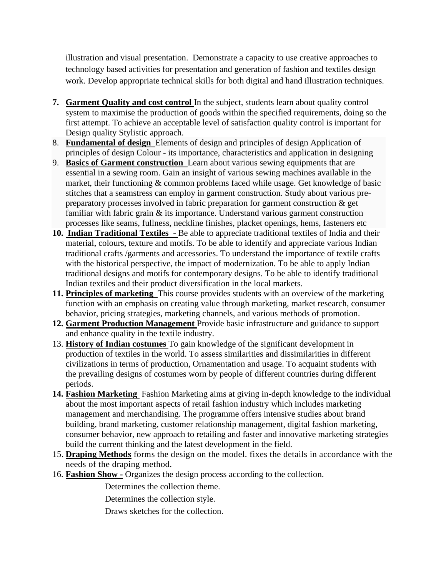illustration and visual presentation. Demonstrate a capacity to use creative approaches to technology based activities for presentation and generation of fashion and textiles design work. Develop appropriate technical skills for both digital and hand illustration techniques.

- **7. Garment Quality and cost control** In the subject, students learn about quality control system to maximise the production of goods within the specified requirements, doing so the first attempt. To achieve an acceptable level of satisfaction quality control is important for Design quality Stylistic approach.
- 8. **Fundamental of design** Elements of design and [principles of design](http://ecoursesonline.iasri.res.in/mod/page/view.php?id=26928) Application of principles of design Colour - its importance, characteristics and application in designing
- 9. **Basics of Garment construction** Learn about various sewing equipments that are essential in a sewing room. Gain an insight of various sewing machines available in the market, their functioning & common problems faced while usage. Get knowledge of basic stitches that a seamstress can employ in garment construction. Study about various prepreparatory processes involved in fabric preparation for garment construction & get familiar with fabric grain & its importance. Understand various garment construction processes like seams, fullness, [neckline finishes,](http://ecoursesonline.iasri.res.in/mod/page/view.php?id=121261) [placket openings,](http://ecoursesonline.iasri.res.in/mod/page/view.php?id=121271) [hems,](http://ecoursesonline.iasri.res.in/mod/page/view.php?id=121293) fasteners etc
- **10. Indian Traditional Textiles -** Be able to appreciate traditional textiles of India and their material, colours, texture and motifs. To be able to identify and appreciate various Indian traditional crafts /garments and accessories. To understand the importance of textile crafts with the historical perspective, the impact of modernization. To be able to apply Indian traditional designs and motifs for contemporary designs. To be able to identify traditional Indian textiles and their product diversification in the local markets.
- **11. Principles of marketing** This course provides students with an overview of the marketing function with an emphasis on creating value through marketing, market research, consumer behavior, pricing strategies, marketing channels, and various methods of promotion.
- **12. Garment Production Management** Provide basic infrastructure and guidance to support and enhance quality in the textile industry.
- 13. **History of Indian costumes** To gain knowledge of the significant development in production of textiles in the world. To assess similarities and dissimilarities in different civilizations in terms of production, Ornamentation and usage. To acquaint students with the prevailing designs of costumes worn by people of different countries during different periods.
- **14. Fashion Marketing** Fashion Marketing aims at giving in-depth knowledge to the individual about the most important aspects of retail fashion industry which includes marketing management and merchandising. The programme offers intensive studies about brand building, brand marketing, customer relationship management, digital fashion marketing, consumer behavior, new approach to retailing and faster and innovative marketing strategies build the current thinking and the latest development in the field.
- 15. **Draping Methods** forms the design on the model. fixes the details in accordance with the needs of the draping method.
- 16. **Fashion Show -** Organizes the design process according to the collection.

Determines the collection theme.

Determines the collection style.

Draws sketches for the collection.